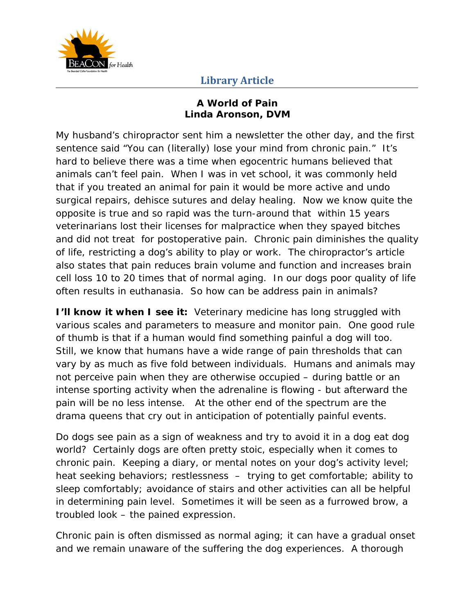

#### **A World of Pain Linda Aronson, DVM**

My husband's chiropractor sent him a newsletter the other day, and the first sentence said "You can (literally) lose your mind from chronic pain." It's hard to believe there was a time when egocentric humans believed that animals can't feel pain. When I was in vet school, it was commonly held that if you treated an animal for pain it would be more active and undo surgical repairs, dehisce sutures and delay healing. Now we know quite the opposite is true and so rapid was the turn-around that within 15 years veterinarians lost their licenses for malpractice when they spayed bitches and did not treat for postoperative pain. Chronic pain diminishes the quality of life, restricting a dog's ability to play or work. The chiropractor's article also states that pain reduces brain volume and function and increases brain cell loss 10 to 20 times that of normal aging. In our dogs poor quality of life often results in euthanasia. So how can be address pain in animals?

**I'll know it when I see it:** Veterinary medicine has long struggled with various scales and parameters to measure and monitor pain. One good rule of thumb is that if a human would find something painful a dog will too. Still, we know that humans have a wide range of pain thresholds that can vary by as much as five fold between individuals. Humans and animals may not perceive pain when they are otherwise occupied – during battle or an intense sporting activity when the adrenaline is flowing - but afterward the pain will be no less intense. At the other end of the spectrum are the drama queens that cry out in anticipation of potentially painful events.

Do dogs see pain as a sign of weakness and try to avoid it in a dog eat dog world? Certainly dogs are often pretty stoic, especially when it comes to chronic pain. Keeping a diary, or mental notes on your dog's activity level; heat seeking behaviors; restlessness – trying to get comfortable; ability to sleep comfortably; avoidance of stairs and other activities can all be helpful in determining pain level. Sometimes it will be seen as a furrowed brow, a troubled look – the pained expression.

Chronic pain is often dismissed as normal aging; it can have a gradual onset and we remain unaware of the suffering the dog experiences. A thorough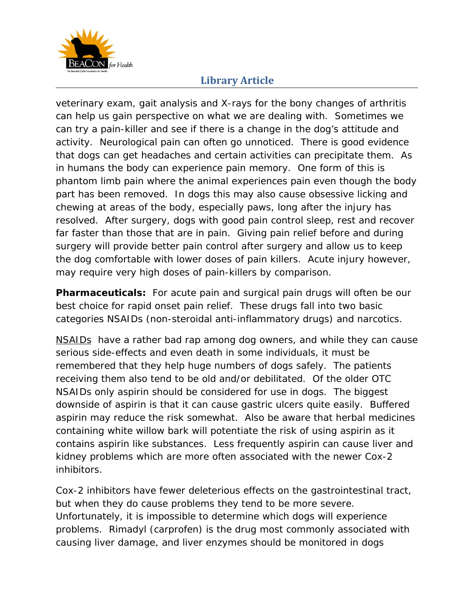

veterinary exam, gait analysis and X-rays for the bony changes of arthritis can help us gain perspective on what we are dealing with. Sometimes we can try a pain-killer and see if there is a change in the dog's attitude and activity. Neurological pain can often go unnoticed. There is good evidence that dogs can get headaches and certain activities can precipitate them. As in humans the body can experience pain memory. One form of this is phantom limb pain where the animal experiences pain even though the body part has been removed. In dogs this may also cause obsessive licking and chewing at areas of the body, especially paws, long after the injury has resolved. After surgery, dogs with good pain control sleep, rest and recover far faster than those that are in pain. Giving pain relief before and during surgery will provide better pain control after surgery and allow us to keep the dog comfortable with lower doses of pain killers. Acute injury however, may require very high doses of pain-killers by comparison.

**Pharmaceuticals:** For acute pain and surgical pain drugs will often be our best choice for rapid onset pain relief. These drugs fall into two basic categories NSAIDs (non-steroidal anti-inflammatory drugs) and narcotics.

NSAIDs have a rather bad rap among dog owners, and while they can cause serious side-effects and even death in some individuals, it must be remembered that they help huge numbers of dogs safely. The patients receiving them also tend to be old and/or debilitated. Of the older OTC NSAIDs only aspirin should be considered for use in dogs. The biggest downside of aspirin is that it can cause gastric ulcers quite easily. Buffered aspirin may reduce the risk somewhat. Also be aware that herbal medicines containing white willow bark will potentiate the risk of using aspirin as it contains aspirin like substances. Less frequently aspirin can cause liver and kidney problems which are more often associated with the newer Cox-2 inhibitors.

Cox-2 inhibitors have fewer deleterious effects on the gastrointestinal tract, but when they do cause problems they tend to be more severe. Unfortunately, it is impossible to determine which dogs will experience problems. Rimadyl (carprofen) is the drug most commonly associated with causing liver damage, and liver enzymes should be monitored in dogs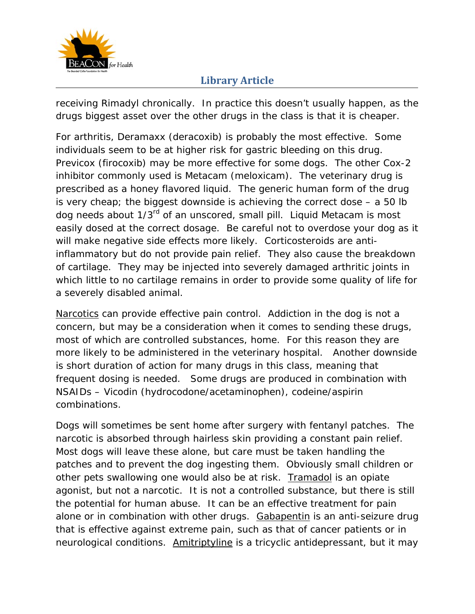

receiving Rimadyl chronically. In practice this doesn't usually happen, as the drugs biggest asset over the other drugs in the class is that it is cheaper.

For arthritis, Deramaxx (deracoxib) is probably the most effective. Some individuals seem to be at higher risk for gastric bleeding on this drug. Previcox (firocoxib) may be more effective for some dogs. The other Cox-2 inhibitor commonly used is Metacam (meloxicam). The veterinary drug is prescribed as a honey flavored liquid. The generic human form of the drug is very cheap; the biggest downside is achieving the correct dose – a 50 lb dog needs about 1/3<sup>rd</sup> of an unscored, small pill. Liquid Metacam is most easily dosed at the correct dosage. Be careful not to overdose your dog as it will make negative side effects more likely. Corticosteroids are antiinflammatory but do not provide pain relief. They also cause the breakdown of cartilage. They may be injected into severely damaged arthritic joints in which little to no cartilage remains in order to provide some quality of life for a severely disabled animal.

Narcotics can provide effective pain control. Addiction in the dog is not a concern, but may be a consideration when it comes to sending these drugs, most of which are controlled substances, home. For this reason they are more likely to be administered in the veterinary hospital. Another downside is short duration of action for many drugs in this class, meaning that frequent dosing is needed. Some drugs are produced in combination with NSAIDs – Vicodin (hydrocodone/acetaminophen), codeine/aspirin combinations.

Dogs will sometimes be sent home after surgery with fentanyl patches. The narcotic is absorbed through hairless skin providing a constant pain relief. Most dogs will leave these alone, but care must be taken handling the patches and to prevent the dog ingesting them. Obviously small children or other pets swallowing one would also be at risk. Tramadol is an opiate agonist, but not a narcotic. It is not a controlled substance, but there is still the potential for human abuse. It can be an effective treatment for pain alone or in combination with other drugs. Gabapentin is an anti-seizure drug that is effective against extreme pain, such as that of cancer patients or in neurological conditions. Amitriptyline is a tricyclic antidepressant, but it may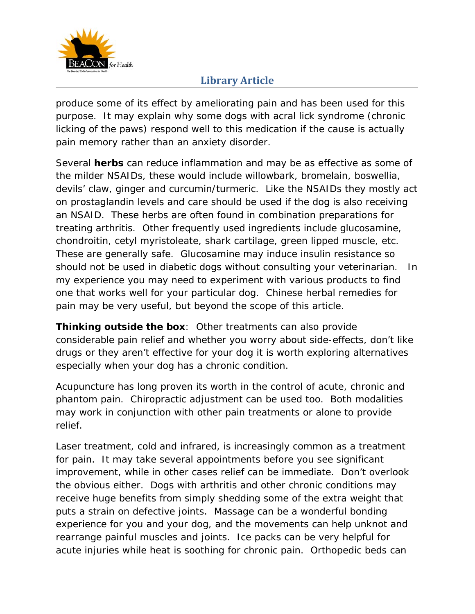

produce some of its effect by ameliorating pain and has been used for this purpose. It may explain why some dogs with acral lick syndrome (chronic licking of the paws) respond well to this medication if the cause is actually pain memory rather than an anxiety disorder.

Several **herbs** can reduce inflammation and may be as effective as some of the milder NSAIDs, these would include willowbark, bromelain, boswellia, devils' claw, ginger and curcumin/turmeric. Like the NSAIDs they mostly act on prostaglandin levels and care should be used if the dog is also receiving an NSAID. These herbs are often found in combination preparations for treating arthritis. Other frequently used ingredients include glucosamine, chondroitin, cetyl myristoleate, shark cartilage, green lipped muscle, etc. These are generally safe. Glucosamine may induce insulin resistance so should not be used in diabetic dogs without consulting your veterinarian. In my experience you may need to experiment with various products to find one that works well for your particular dog. Chinese herbal remedies for pain may be very useful, but beyond the scope of this article.

**Thinking outside the box**: Other treatments can also provide considerable pain relief and whether you worry about side-effects, don't like drugs or they aren't effective for your dog it is worth exploring alternatives especially when your dog has a chronic condition.

Acupuncture has long proven its worth in the control of acute, chronic and phantom pain. Chiropractic adjustment can be used too. Both modalities may work in conjunction with other pain treatments or alone to provide relief.

Laser treatment, cold and infrared, is increasingly common as a treatment for pain. It may take several appointments before you see significant improvement, while in other cases relief can be immediate. Don't overlook the obvious either. Dogs with arthritis and other chronic conditions may receive huge benefits from simply shedding some of the extra weight that puts a strain on defective joints. Massage can be a wonderful bonding experience for you and your dog, and the movements can help unknot and rearrange painful muscles and joints. Ice packs can be very helpful for acute injuries while heat is soothing for chronic pain. Orthopedic beds can